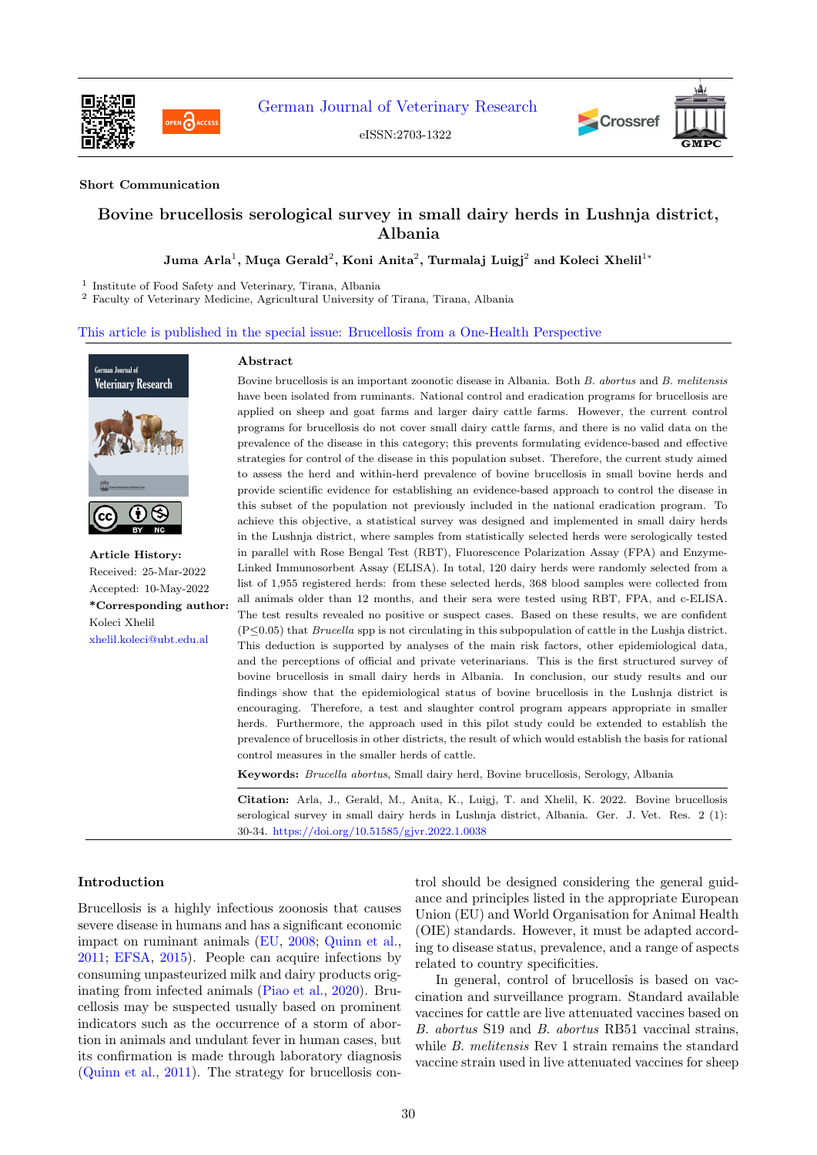

[German Journal of Veterinary Research](https://gmpc-akademie.de/journals/gjvr)

eISSN:2703-1322





## Short Communication

# Bovine brucellosis serological survey in small dairy herds in Lushnja district, Albania

Juma Arla $^1$ , Muça Gerald $^2$ , Koni Anita $^2$ , Turmalaj Luigj $^2$  and Koleci Xhelil $^1{}^*$ 

1 Institute of Food Safety and Veterinary, Tirana, Albania

<sup>2</sup> Faculty of Veterinary Medicine, Agricultural University of Tirana, Tirana, Albania

This article is published in the special issue: Brucellosis from a One-Health Perspective



Article History: Received: 25-Mar-2022 Accepted: 10-May-2022 \*Corresponding author: Koleci Xhelil [xhelil.koleci@ubt.edu.al](mailto:xhelil.koleci@ubt.edu.al)

#### Abstract

Bovine brucellosis is an important zoonotic disease in Albania. Both B. abortus and B. melitensis have been isolated from ruminants. National control and eradication programs for brucellosis are applied on sheep and goat farms and larger dairy cattle farms. However, the current control programs for brucellosis do not cover small dairy cattle farms, and there is no valid data on the prevalence of the disease in this category; this prevents formulating evidence-based and effective strategies for control of the disease in this population subset. Therefore, the current study aimed to assess the herd and within-herd prevalence of bovine brucellosis in small bovine herds and provide scientific evidence for establishing an evidence-based approach to control the disease in this subset of the population not previously included in the national eradication program. To achieve this objective, a statistical survey was designed and implemented in small dairy herds in the Lushnja district, where samples from statistically selected herds were serologically tested in parallel with Rose Bengal Test (RBT), Fluorescence Polarization Assay (FPA) and Enzyme-Linked Immunosorbent Assay (ELISA). In total, 120 dairy herds were randomly selected from a list of 1,955 registered herds: from these selected herds, 368 blood samples were collected from all animals older than 12 months, and their sera were tested using RBT, FPA, and c-ELISA. The test results revealed no positive or suspect cases. Based on these results, we are confident (P≤0.05) that Brucella spp is not circulating in this subpopulation of cattle in the Lushja district. This deduction is supported by analyses of the main risk factors, other epidemiological data, and the perceptions of official and private veterinarians. This is the first structured survey of bovine brucellosis in small dairy herds in Albania. In conclusion, our study results and our findings show that the epidemiological status of bovine brucellosis in the Lushnja district is encouraging. Therefore, a test and slaughter control program appears appropriate in smaller herds. Furthermore, the approach used in this pilot study could be extended to establish the prevalence of brucellosis in other districts, the result of which would establish the basis for rational control measures in the smaller herds of cattle.

Keywords: Brucella abortus, Small dairy herd, Bovine brucellosis, Serology, Albania

Citation: Arla, J., Gerald, M., Anita, K., Luigj, T. and Xhelil, K. 2022. Bovine brucellosis serological survey in small dairy herds in Lushnja district, Albania. Ger. J. Vet. Res. 2 (1): 30-34. <https://doi.org/10.51585/gjvr.2022.1.0038>

### Introduction

Brucellosis is a highly infectious zoonosis that causes severe disease in humans and has a significant economic impact on ruminant animals [\(EU,](#page-4-0) [2008;](#page-4-0) [Quinn et al.,](#page-4-1) [2011;](#page-4-1) [EFSA,](#page-4-2) [2015\)](#page-4-2). People can acquire infections by consuming unpasteurized milk and dairy products originating from infected animals [\(Piao et al.,](#page-4-3) [2020\)](#page-4-3). Brucellosis may be suspected usually based on prominent indicators such as the occurrence of a storm of abortion in animals and undulant fever in human cases, but its confirmation is made through laboratory diagnosis [\(Quinn et al.,](#page-4-1) [2011\)](#page-4-1). The strategy for brucellosis control should be designed considering the general guidance and principles listed in the appropriate European Union (EU) and World Organisation for Animal Health (OIE) standards. However, it must be adapted according to disease status, prevalence, and a range of aspects related to country specificities.

In general, control of brucellosis is based on vaccination and surveillance program. Standard available vaccines for cattle are live attenuated vaccines based on B. abortus S19 and B. abortus RB51 vaccinal strains, while B. melitensis Rev 1 strain remains the standard vaccine strain used in live attenuated vaccines for sheep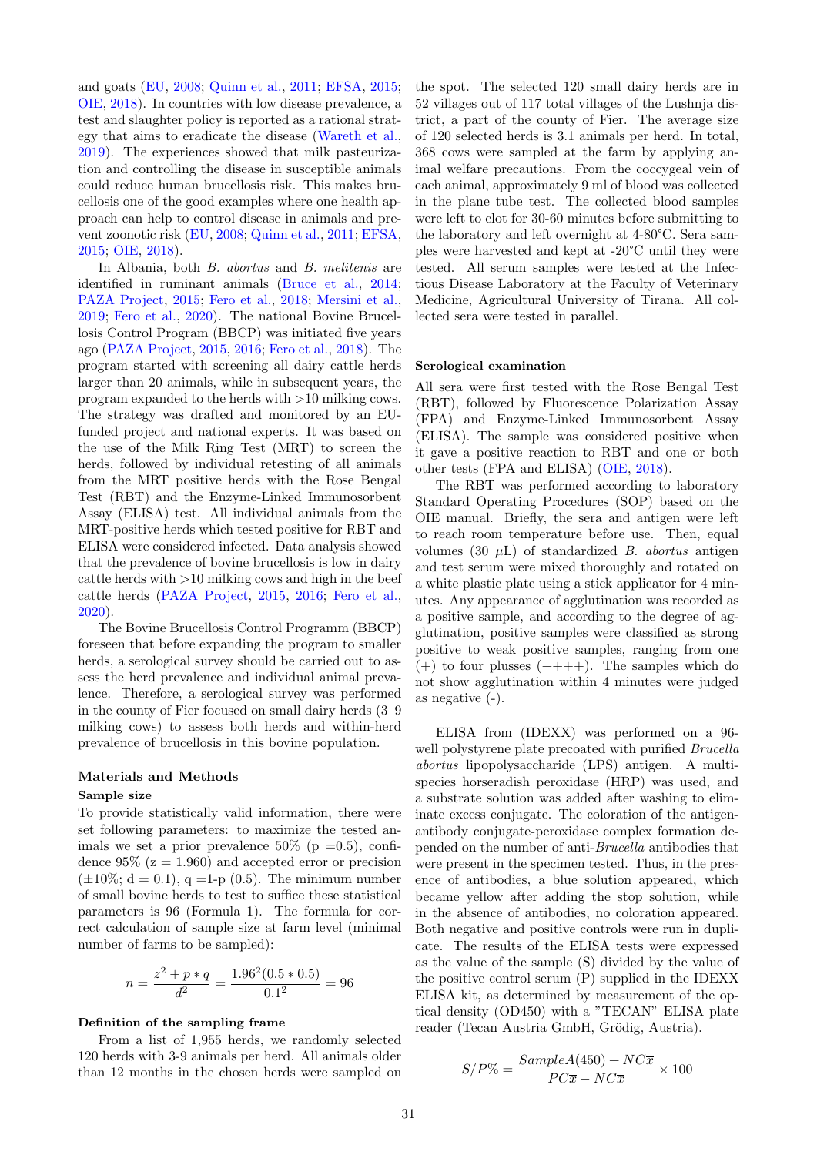and goats [\(EU,](#page-4-0) [2008;](#page-4-0) [Quinn et al.,](#page-4-1) [2011;](#page-4-1) [EFSA,](#page-4-2) [2015;](#page-4-2) [OIE,](#page-4-4) [2018\)](#page-4-4). In countries with low disease prevalence, a test and slaughter policy is reported as a rational strategy that aims to eradicate the disease [\(Wareth et al.,](#page-4-5) [2019\)](#page-4-5). The experiences showed that milk pasteurization and controlling the disease in susceptible animals could reduce human brucellosis risk. This makes brucellosis one of the good examples where one health approach can help to control disease in animals and prevent zoonotic risk [\(EU,](#page-4-0) [2008;](#page-4-0) [Quinn et al.,](#page-4-1) [2011;](#page-4-1) [EFSA,](#page-4-2) [2015;](#page-4-2) [OIE,](#page-4-4) [2018\)](#page-4-4).

In Albania, both B. abortus and B. melitenis are identified in ruminant animals [\(Bruce et al.,](#page-3-0) [2014;](#page-3-0) [PAZA Project,](#page-4-6) [2015;](#page-4-6) [Fero et al.,](#page-4-7) [2018;](#page-4-7) [Mersini et al.,](#page-4-8) [2019;](#page-4-8) [Fero et al.,](#page-4-9) [2020\)](#page-4-9). The national Bovine Brucellosis Control Program (BBCP) was initiated five years ago [\(PAZA Project,](#page-4-6) [2015,](#page-4-6) [2016;](#page-4-10) [Fero et al.,](#page-4-7) [2018\)](#page-4-7). The program started with screening all dairy cattle herds larger than 20 animals, while in subsequent years, the program expanded to the herds with >10 milking cows. The strategy was drafted and monitored by an EUfunded project and national experts. It was based on the use of the Milk Ring Test (MRT) to screen the herds, followed by individual retesting of all animals from the MRT positive herds with the Rose Bengal Test (RBT) and the Enzyme-Linked Immunosorbent Assay (ELISA) test. All individual animals from the MRT-positive herds which tested positive for RBT and ELISA were considered infected. Data analysis showed that the prevalence of bovine brucellosis is low in dairy cattle herds with >10 milking cows and high in the beef cattle herds [\(PAZA Project,](#page-4-6) [2015,](#page-4-6) [2016;](#page-4-10) [Fero et al.,](#page-4-9) [2020\)](#page-4-9).

The Bovine Brucellosis Control Programm (BBCP) foreseen that before expanding the program to smaller herds, a serological survey should be carried out to assess the herd prevalence and individual animal prevalence. Therefore, a serological survey was performed in the county of Fier focused on small dairy herds (3–9 milking cows) to assess both herds and within-herd prevalence of brucellosis in this bovine population.

# Materials and Methods

## Sample size

To provide statistically valid information, there were set following parameters: to maximize the tested animals we set a prior prevalence  $50\%$  (p =0.5), confidence  $95\%$  ( $z = 1.960$ ) and accepted error or precision  $(\pm 10\%; d = 0.1), q = 1-p (0.5)$ . The minimum number of small bovine herds to test to suffice these statistical parameters is 96 (Formula 1). The formula for correct calculation of sample size at farm level (minimal number of farms to be sampled):

$$
n = \frac{z^2 + p * q}{d^2} = \frac{1.96^2 (0.5 * 0.5)}{0.1^2} = 96
$$

#### Definition of the sampling frame

From a list of 1,955 herds, we randomly selected 120 herds with 3-9 animals per herd. All animals older than 12 months in the chosen herds were sampled on the spot. The selected 120 small dairy herds are in 52 villages out of 117 total villages of the Lushnja district, a part of the county of Fier. The average size of 120 selected herds is 3.1 animals per herd. In total, 368 cows were sampled at the farm by applying animal welfare precautions. From the coccygeal vein of each animal, approximately 9 ml of blood was collected in the plane tube test. The collected blood samples were left to clot for 30-60 minutes before submitting to the laboratory and left overnight at 4-80°C. Sera samples were harvested and kept at -20°C until they were tested. All serum samples were tested at the Infectious Disease Laboratory at the Faculty of Veterinary Medicine, Agricultural University of Tirana. All collected sera were tested in parallel.

#### Serological examination

All sera were first tested with the Rose Bengal Test (RBT), followed by Fluorescence Polarization Assay (FPA) and Enzyme-Linked Immunosorbent Assay (ELISA). The sample was considered positive when it gave a positive reaction to RBT and one or both other tests (FPA and ELISA) [\(OIE,](#page-4-4) [2018\)](#page-4-4).

The RBT was performed according to laboratory Standard Operating Procedures (SOP) based on the OIE manual. Briefly, the sera and antigen were left to reach room temperature before use. Then, equal volumes (30  $\mu$ L) of standardized *B. abortus* antigen and test serum were mixed thoroughly and rotated on a white plastic plate using a stick applicator for 4 minutes. Any appearance of agglutination was recorded as a positive sample, and according to the degree of agglutination, positive samples were classified as strong positive to weak positive samples, ranging from one  $(+)$  to four plusses  $(+++).$  The samples which do not show agglutination within 4 minutes were judged as negative (-).

ELISA from (IDEXX) was performed on a 96 well polystyrene plate precoated with purified *Brucella* abortus lipopolysaccharide (LPS) antigen. A multispecies horseradish peroxidase (HRP) was used, and a substrate solution was added after washing to eliminate excess conjugate. The coloration of the antigenantibody conjugate-peroxidase complex formation depended on the number of anti-Brucella antibodies that were present in the specimen tested. Thus, in the presence of antibodies, a blue solution appeared, which became yellow after adding the stop solution, while in the absence of antibodies, no coloration appeared. Both negative and positive controls were run in duplicate. The results of the ELISA tests were expressed as the value of the sample (S) divided by the value of the positive control serum (P) supplied in the IDEXX ELISA kit, as determined by measurement of the optical density (OD450) with a "TECAN" ELISA plate reader (Tecan Austria GmbH, Grödig, Austria).

$$
S/P\% = \frac{SampleA(450) + NC\overline{x}}{PC\overline{x} - NC\overline{x}} \times 100
$$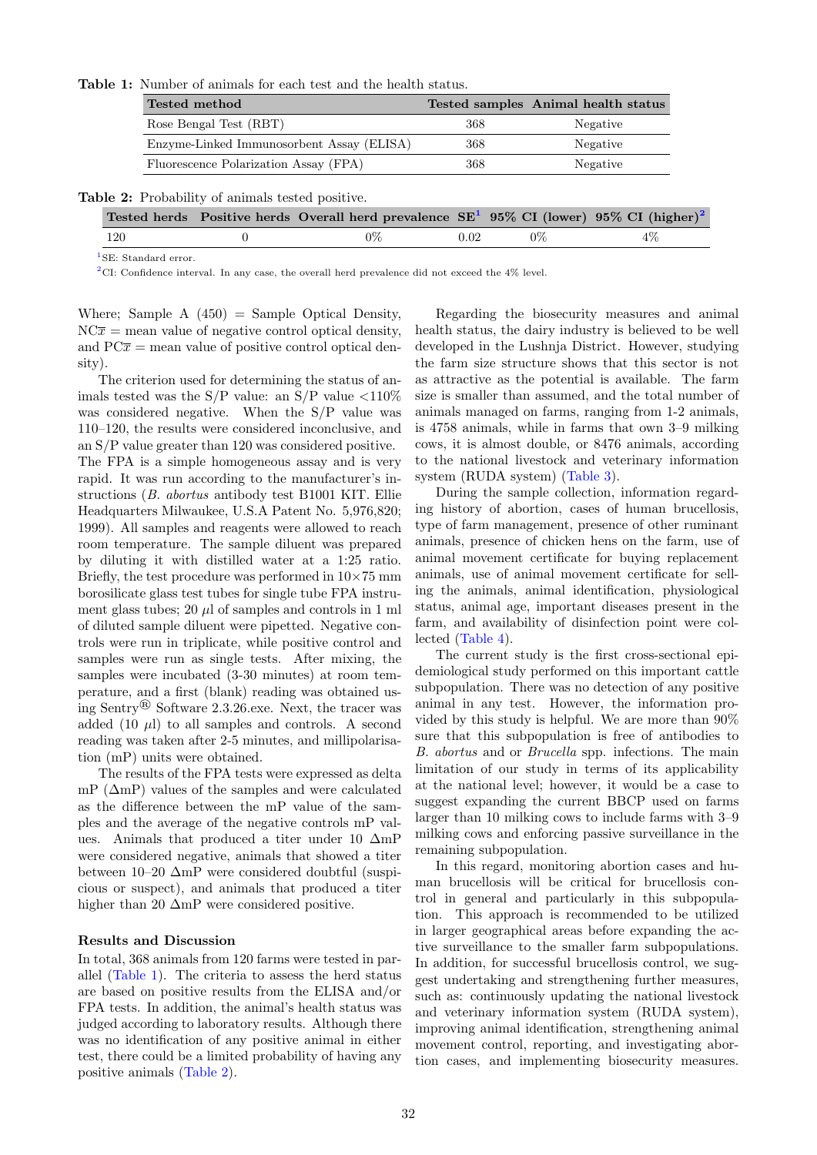<span id="page-2-0"></span>Table 1: Number of animals for each test and the health status.

| Tested method                             |     | Tested samples Animal health status |
|-------------------------------------------|-----|-------------------------------------|
| Rose Bengal Test (RBT)                    | 368 | Negative                            |
| Enzyme-Linked Immunosorbent Assay (ELISA) | 368 | Negative                            |
| Fluorescence Polarization Assay (FPA)     | 368 | Negative                            |

<span id="page-2-1"></span>

| Table 2: Probability of animals tested positive. |  |  |  |  |  |
|--------------------------------------------------|--|--|--|--|--|
|--------------------------------------------------|--|--|--|--|--|

|     | Tested herds Positive herds Overall herd prevalence $SE^1$ 95% CI (lower) 95% CI (higher) <sup>2</sup> |      |       |       |
|-----|--------------------------------------------------------------------------------------------------------|------|-------|-------|
| 120 | $0\%$                                                                                                  | 0.02 | $0\%$ | $4\%$ |

<sup>1</sup>SE: Standard error.

<sup>2</sup>CI: Confidence interval. In any case, the overall herd prevalence did not exceed the  $4\%$  level.

Where; Sample  $A(450) =$  Sample Optical Density,  $NC\bar{x}$  = mean value of negative control optical density, and  $PC\bar{x}$  = mean value of positive control optical density).

The criterion used for determining the status of animals tested was the S/P value: an S/P value  $\langle 110\%$ was considered negative. When the S/P value was 110–120, the results were considered inconclusive, and an S/P value greater than 120 was considered positive.

The FPA is a simple homogeneous assay and is very rapid. It was run according to the manufacturer's instructions (B. abortus antibody test B1001 KIT. Ellie Headquarters Milwaukee, U.S.A Patent No. 5,976,820; 1999). All samples and reagents were allowed to reach room temperature. The sample diluent was prepared by diluting it with distilled water at a 1:25 ratio. Briefly, the test procedure was performed in  $10\times75$  mm borosilicate glass test tubes for single tube FPA instrument glass tubes;  $20 \mu l$  of samples and controls in 1 ml of diluted sample diluent were pipetted. Negative controls were run in triplicate, while positive control and samples were run as single tests. After mixing, the samples were incubated (3-30 minutes) at room temperature, and a first (blank) reading was obtained using Sentry® Software 2.3.26.exe. Next, the tracer was added  $(10 \mu l)$  to all samples and controls. A second reading was taken after 2-5 minutes, and millipolarisation (mP) units were obtained.

The results of the FPA tests were expressed as delta mP  $(\Delta mP)$  values of the samples and were calculated as the difference between the mP value of the samples and the average of the negative controls mP values. Animals that produced a titer under 10 ∆mP were considered negative, animals that showed a titer between 10–20 ∆mP were considered doubtful (suspicious or suspect), and animals that produced a titer higher than 20 ∆mP were considered positive.

## Results and Discussion

In total, 368 animals from 120 farms were tested in parallel [\(Table 1\)](#page-2-0). The criteria to assess the herd status are based on positive results from the ELISA and/or FPA tests. In addition, the animal's health status was judged according to laboratory results. Although there was no identification of any positive animal in either test, there could be a limited probability of having any positive animals [\(Table 2\)](#page-2-1).

Regarding the biosecurity measures and animal health status, the dairy industry is believed to be well developed in the Lushnja District. However, studying the farm size structure shows that this sector is not as attractive as the potential is available. The farm size is smaller than assumed, and the total number of animals managed on farms, ranging from 1-2 animals, is 4758 animals, while in farms that own 3–9 milking cows, it is almost double, or 8476 animals, according to the national livestock and veterinary information system (RUDA system) [\(Table 3\)](#page-3-1).

During the sample collection, information regarding history of abortion, cases of human brucellosis, type of farm management, presence of other ruminant animals, presence of chicken hens on the farm, use of animal movement certificate for buying replacement animals, use of animal movement certificate for selling the animals, animal identification, physiological status, animal age, important diseases present in the farm, and availability of disinfection point were collected [\(Table 4\)](#page-3-2).

The current study is the first cross-sectional epidemiological study performed on this important cattle subpopulation. There was no detection of any positive animal in any test. However, the information provided by this study is helpful. We are more than 90% sure that this subpopulation is free of antibodies to B. abortus and or Brucella spp. infections. The main limitation of our study in terms of its applicability at the national level; however, it would be a case to suggest expanding the current BBCP used on farms larger than 10 milking cows to include farms with 3–9 milking cows and enforcing passive surveillance in the remaining subpopulation.

In this regard, monitoring abortion cases and human brucellosis will be critical for brucellosis control in general and particularly in this subpopulation. This approach is recommended to be utilized in larger geographical areas before expanding the active surveillance to the smaller farm subpopulations. In addition, for successful brucellosis control, we suggest undertaking and strengthening further measures, such as: continuously updating the national livestock and veterinary information system (RUDA system), improving animal identification, strengthening animal movement control, reporting, and investigating abortion cases, and implementing biosecurity measures.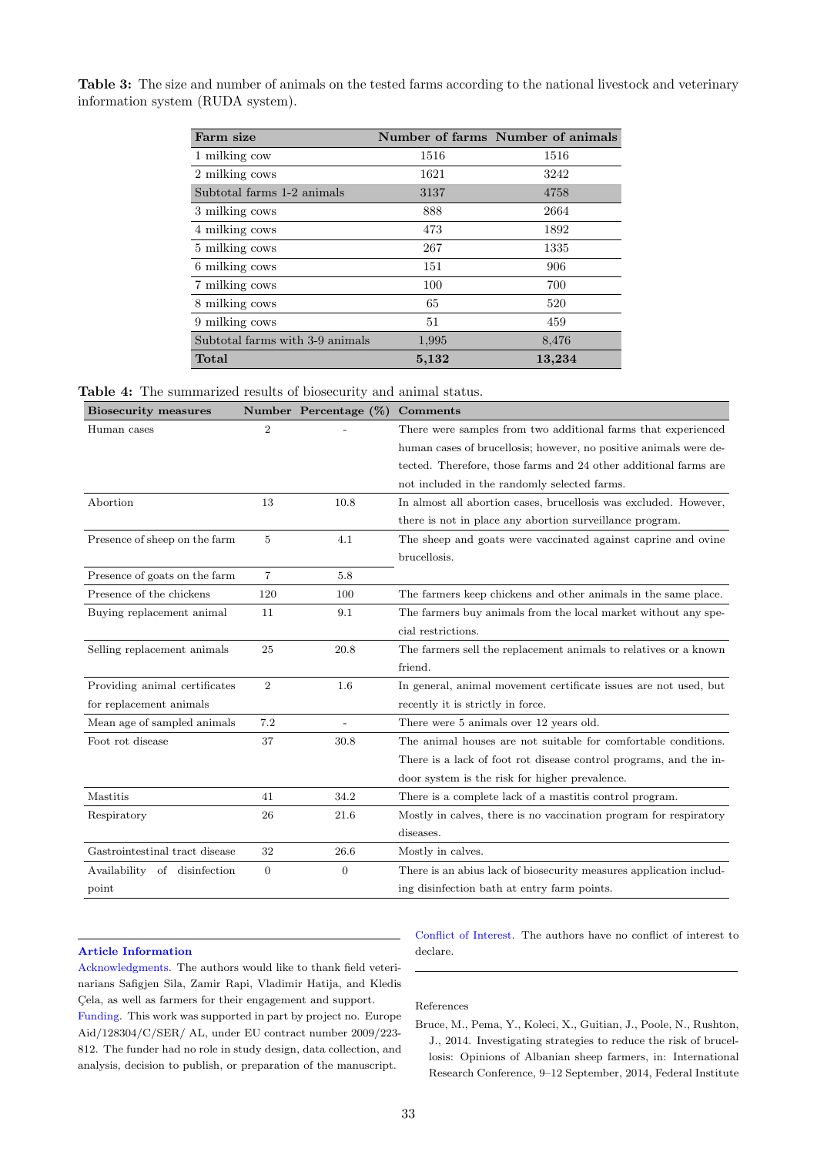| Farm size                       |       | Number of farms Number of animals |
|---------------------------------|-------|-----------------------------------|
| 1 milking cow                   | 1516  | 1516                              |
| 2 milking cows                  | 1621  | 3242                              |
| Subtotal farms 1-2 animals      | 3137  | 4758                              |
| 3 milking cows                  | 888   | 2664                              |
| 4 milking cows                  | 473   | 1892                              |
| 5 milking cows                  | 267   | 1335                              |
| 6 milking cows                  | 151   | 906                               |
| 7 milking cows                  | 100   | 700                               |
| 8 milking cows                  | 65    | 520                               |
| 9 milking cows                  | 51    | 459                               |
| Subtotal farms with 3-9 animals | 1,995 | 8,476                             |
| Total                           | 5,132 | 13,234                            |

<span id="page-3-1"></span>Table 3: The size and number of animals on the tested farms according to the national livestock and veterinary information system (RUDA system).

<span id="page-3-2"></span>

|  | <b>Table 4:</b> The summarized results of biosecurity and animal status. |  |  |  |  |  |
|--|--------------------------------------------------------------------------|--|--|--|--|--|
|--|--------------------------------------------------------------------------|--|--|--|--|--|

| <b>Biosecurity measures</b>    |                | Number Percentage (%) | Comments                                                           |
|--------------------------------|----------------|-----------------------|--------------------------------------------------------------------|
| Human cases                    | $\overline{2}$ |                       | There were samples from two additional farms that experienced      |
|                                |                |                       | human cases of brucellosis; however, no positive animals were de-  |
|                                |                |                       | tected. Therefore, those farms and 24 other additional farms are   |
|                                |                |                       | not included in the randomly selected farms.                       |
| Abortion                       | 13             | 10.8                  | In almost all abortion cases, brucellosis was excluded. However,   |
|                                |                |                       | there is not in place any abortion surveillance program.           |
| Presence of sheep on the farm  | 5              | 4.1                   | The sheep and goats were vaccinated against caprine and ovine      |
|                                |                |                       | brucellosis.                                                       |
| Presence of goats on the farm  | $\overline{7}$ | 5.8                   |                                                                    |
| Presence of the chickens       | 120            | 100                   | The farmers keep chickens and other animals in the same place.     |
| Buying replacement animal      | 11             | 9.1                   | The farmers buy animals from the local market without any spe-     |
|                                |                |                       | cial restrictions.                                                 |
| Selling replacement animals    | 25             | 20.8                  | The farmers sell the replacement animals to relatives or a known   |
|                                |                |                       | friend.                                                            |
| Providing animal certificates  | $\overline{2}$ | 1.6                   | In general, animal movement certificate issues are not used, but   |
| for replacement animals        |                |                       | recently it is strictly in force.                                  |
| Mean age of sampled animals    | 7.2            | $\overline{a}$        | There were 5 animals over 12 years old.                            |
| Foot rot disease               | 37             | 30.8                  | The animal houses are not suitable for comfortable conditions.     |
|                                |                |                       | There is a lack of foot rot disease control programs, and the in-  |
|                                |                |                       | door system is the risk for higher prevalence.                     |
| Mastitis                       | 41             | 34.2                  | There is a complete lack of a mastitis control program.            |
| Respiratory                    | 26             | 21.6                  | Mostly in calves, there is no vaccination program for respiratory  |
|                                |                |                       | diseases.                                                          |
| Gastrointestinal tract disease | 32             | 26.6                  | Mostly in calves.                                                  |
| Availability of disinfection   | $\overline{0}$ | $\overline{0}$        | There is an abius lack of biosecurity measures application includ- |
| point                          |                |                       | ing disinfection bath at entry farm points.                        |

## Article Information

Acknowledgments. The authors would like to thank field veterinarians Safigjen Sila, Zamir Rapi, Vladimir Hatija, and Kledis Çela, as well as farmers for their engagement and support. Funding. This work was supported in part by project no. Europe Aid/128304/C/SER/ AL, under EU contract number 2009/223Conflict of Interest. The authors have no conflict of interest to declare.

References

812. The funder had no role in study design, data collection, and analysis, decision to publish, or preparation of the manuscript.

<span id="page-3-0"></span>Bruce, M., Pema, Y., Koleci, X., Guitian, J., Poole, N., Rushton, J., 2014. Investigating strategies to reduce the risk of brucellosis: Opinions of Albanian sheep farmers, in: International Research Conference, 9–12 September, 2014, Federal Institute